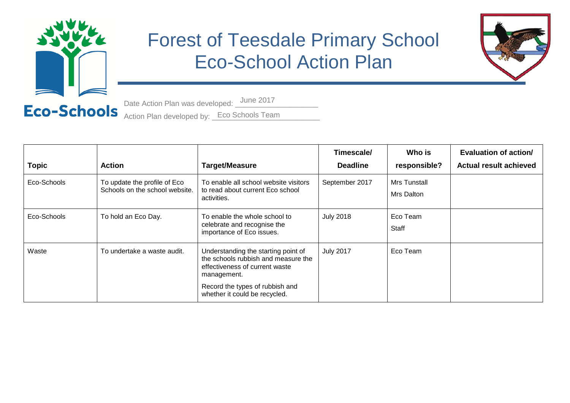

## Forest of Teesdale Primary School Eco-School Action Plan



Date Action Plan was developed: \_\_\_\_\_\_\_\_\_\_\_\_\_\_\_\_\_\_\_\_ Action Plan developed by: Eco Schools Team Date Action Plan was developed: June 2017

| <b>Topic</b> | <b>Action</b>                                                  | <b>Target/Measure</b>                                                                                                       | Timescale/<br><b>Deadline</b> | Who is<br>responsible?     | Evaluation of action/<br><b>Actual result achieved</b> |
|--------------|----------------------------------------------------------------|-----------------------------------------------------------------------------------------------------------------------------|-------------------------------|----------------------------|--------------------------------------------------------|
| Eco-Schools  | To update the profile of Eco<br>Schools on the school website. | To enable all school website visitors<br>to read about current Eco school<br>activities.                                    | September 2017                | Mrs Tunstall<br>Mrs Dalton |                                                        |
| Eco-Schools  | To hold an Eco Day.                                            | To enable the whole school to<br>celebrate and recognise the<br>importance of Eco issues.                                   | <b>July 2018</b>              | Eco Team<br>Staff          |                                                        |
| Waste        | To undertake a waste audit.                                    | Understanding the starting point of<br>the schools rubbish and measure the<br>effectiveness of current waste<br>management. | <b>July 2017</b>              | Eco Team                   |                                                        |
|              |                                                                | Record the types of rubbish and<br>whether it could be recycled.                                                            |                               |                            |                                                        |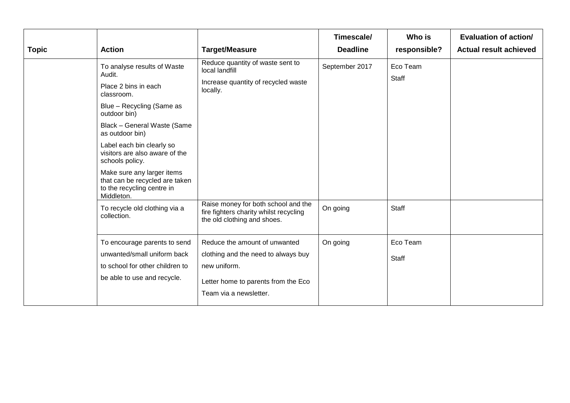|                                                                                                                                 |                                                                                                                                                                                                                                                      |                                                                                                                                                       | Timescale/      | Who is                   | Evaluation of action/         |
|---------------------------------------------------------------------------------------------------------------------------------|------------------------------------------------------------------------------------------------------------------------------------------------------------------------------------------------------------------------------------------------------|-------------------------------------------------------------------------------------------------------------------------------------------------------|-----------------|--------------------------|-------------------------------|
| <b>Topic</b>                                                                                                                    | <b>Action</b>                                                                                                                                                                                                                                        | <b>Target/Measure</b>                                                                                                                                 | <b>Deadline</b> | responsible?             | <b>Actual result achieved</b> |
| Audit.<br>Place 2 bins in each<br>classroom.<br>outdoor bin)<br>as outdoor bin)<br>schools policy.<br>Middleton.<br>collection. | To analyse results of Waste<br>Blue - Recycling (Same as<br>Black - General Waste (Same<br>Label each bin clearly so<br>visitors are also aware of the<br>Make sure any larger items<br>that can be recycled are taken<br>to the recycling centre in | Reduce quantity of waste sent to<br>local landfill<br>Increase quantity of recycled waste<br>locally.                                                 | September 2017  | Eco Team<br>Staff        |                               |
|                                                                                                                                 | To recycle old clothing via a                                                                                                                                                                                                                        | Raise money for both school and the<br>fire fighters charity whilst recycling<br>the old clothing and shoes.                                          | On going        | <b>Staff</b>             |                               |
|                                                                                                                                 | To encourage parents to send<br>unwanted/small uniform back<br>to school for other children to<br>be able to use and recycle.                                                                                                                        | Reduce the amount of unwanted<br>clothing and the need to always buy<br>new uniform.<br>Letter home to parents from the Eco<br>Team via a newsletter. | On going        | Eco Team<br><b>Staff</b> |                               |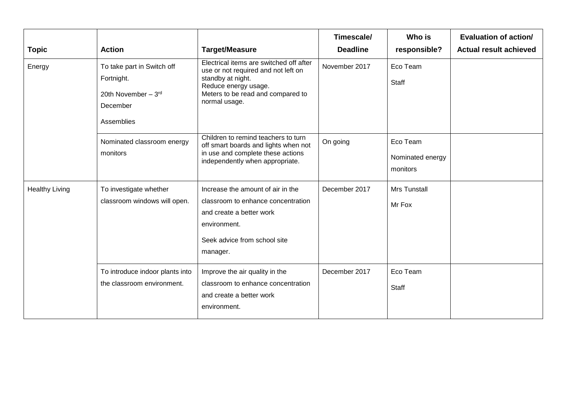|                       |                                                                                           |                                                                                                                                                                                   | Timescale/      | Who is                                   | Evaluation of action/         |
|-----------------------|-------------------------------------------------------------------------------------------|-----------------------------------------------------------------------------------------------------------------------------------------------------------------------------------|-----------------|------------------------------------------|-------------------------------|
| <b>Topic</b>          | <b>Action</b>                                                                             | <b>Target/Measure</b>                                                                                                                                                             | <b>Deadline</b> | responsible?                             | <b>Actual result achieved</b> |
| Energy                | To take part in Switch off<br>Fortnight.<br>20th November - 3rd<br>December<br>Assemblies | Electrical items are switched off after<br>use or not required and not left on<br>standby at night.<br>Reduce energy usage.<br>Meters to be read and compared to<br>normal usage. | November 2017   | Eco Team<br><b>Staff</b>                 |                               |
|                       | Nominated classroom energy<br>monitors                                                    | Children to remind teachers to turn<br>off smart boards and lights when not<br>in use and complete these actions<br>independently when appropriate.                               | On going        | Eco Team<br>Nominated energy<br>monitors |                               |
| <b>Healthy Living</b> | To investigate whether<br>classroom windows will open.                                    | Increase the amount of air in the<br>classroom to enhance concentration<br>and create a better work<br>environment.<br>Seek advice from school site<br>manager.                   | December 2017   | <b>Mrs Tunstall</b><br>Mr Fox            |                               |
|                       | To introduce indoor plants into<br>the classroom environment.                             | Improve the air quality in the<br>classroom to enhance concentration<br>and create a better work<br>environment.                                                                  | December 2017   | Eco Team<br>Staff                        |                               |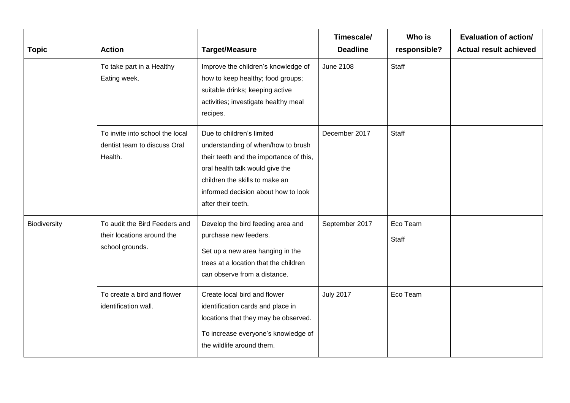|              |                                                                                |                                                                                                                                                                                                                                              | Timescale/       | Who is            | <b>Evaluation of action/</b>  |
|--------------|--------------------------------------------------------------------------------|----------------------------------------------------------------------------------------------------------------------------------------------------------------------------------------------------------------------------------------------|------------------|-------------------|-------------------------------|
| <b>Topic</b> | <b>Action</b>                                                                  | <b>Target/Measure</b>                                                                                                                                                                                                                        | <b>Deadline</b>  | responsible?      | <b>Actual result achieved</b> |
|              | To take part in a Healthy<br>Eating week.                                      | Improve the children's knowledge of<br>how to keep healthy; food groups;<br>suitable drinks; keeping active<br>activities; investigate healthy meal<br>recipes.                                                                              | <b>June 2108</b> | Staff             |                               |
|              | To invite into school the local<br>dentist team to discuss Oral<br>Health.     | Due to children's limited<br>understanding of when/how to brush<br>their teeth and the importance of this,<br>oral health talk would give the<br>children the skills to make an<br>informed decision about how to look<br>after their teeth. | December 2017    | Staff             |                               |
| Biodiversity | To audit the Bird Feeders and<br>their locations around the<br>school grounds. | Develop the bird feeding area and<br>purchase new feeders.<br>Set up a new area hanging in the<br>trees at a location that the children<br>can observe from a distance.                                                                      | September 2017   | Eco Team<br>Staff |                               |
|              | To create a bird and flower<br>identification wall.                            | Create local bird and flower<br>identification cards and place in<br>locations that they may be observed.<br>To increase everyone's knowledge of<br>the wildlife around them.                                                                | <b>July 2017</b> | Eco Team          |                               |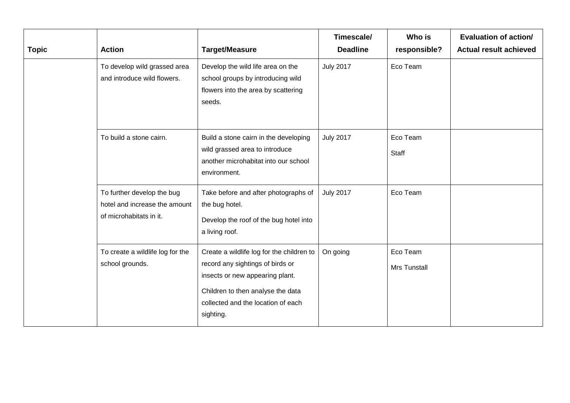| <b>Topic</b> | <b>Action</b>                                                                          | <b>Target/Measure</b>                                                                                                                                                                                    | Timescale/<br><b>Deadline</b> | Who is<br>responsible?          | Evaluation of action/<br><b>Actual result achieved</b> |
|--------------|----------------------------------------------------------------------------------------|----------------------------------------------------------------------------------------------------------------------------------------------------------------------------------------------------------|-------------------------------|---------------------------------|--------------------------------------------------------|
|              | To develop wild grassed area<br>and introduce wild flowers.                            | Develop the wild life area on the<br>school groups by introducing wild<br>flowers into the area by scattering<br>seeds.                                                                                  | <b>July 2017</b>              | Eco Team                        |                                                        |
|              | To build a stone cairn.                                                                | Build a stone cairn in the developing<br>wild grassed area to introduce<br>another microhabitat into our school<br>environment.                                                                          | <b>July 2017</b>              | Eco Team<br>Staff               |                                                        |
|              | To further develop the bug<br>hotel and increase the amount<br>of microhabitats in it. | Take before and after photographs of<br>the bug hotel.<br>Develop the roof of the bug hotel into<br>a living roof.                                                                                       | <b>July 2017</b>              | Eco Team                        |                                                        |
|              | To create a wildlife log for the<br>school grounds.                                    | Create a wildlife log for the children to<br>record any sightings of birds or<br>insects or new appearing plant.<br>Children to then analyse the data<br>collected and the location of each<br>sighting. | On going                      | Eco Team<br><b>Mrs Tunstall</b> |                                                        |